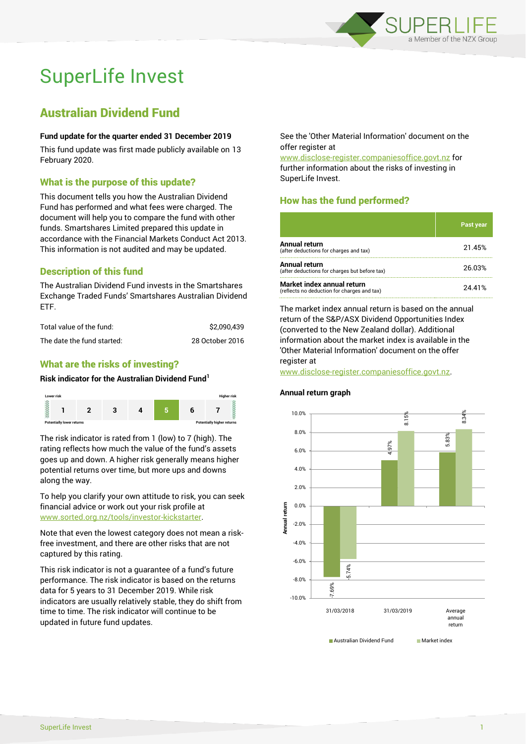

# SuperLife Invest

## Australian Dividend Fund

#### **Fund update for the quarter ended 31 December 2019**

This fund update was first made publicly available on 13 February 2020.

#### What is the purpose of this update?

This document tells you how the Australian Dividend Fund has performed and what fees were charged. The document will help you to compare the fund with other funds. Smartshares Limited prepared this update in accordance with the Financial Markets Conduct Act 2013. This information is not audited and may be updated.

## Description of this fund

The Australian Dividend Fund invests in the Smartshares Exchange Traded Funds' Smartshares Australian Dividend ETF.

| Total value of the fund:   | \$2.090.439     |
|----------------------------|-----------------|
| The date the fund started: | 28 October 2016 |

## What are the risks of investing?

#### **Risk indicator for the Australian Dividend Fund<sup>1</sup>**



The risk indicator is rated from 1 (low) to 7 (high). The rating reflects how much the value of the fund's assets goes up and down. A higher risk generally means higher potential returns over time, but more ups and downs along the way.

To help you clarify your own attitude to risk, you can seek financial advice or work out your risk profile at [www.sorted.org.nz/tools/investor-kickstarter.](http://www.sorted.org.nz/tools/investor-kickstarter)

Note that even the lowest category does not mean a riskfree investment, and there are other risks that are not captured by this rating.

This risk indicator is not a guarantee of a fund's future performance. The risk indicator is based on the returns data for 5 years to 31 December 2019. While risk indicators are usually relatively stable, they do shift from time to time. The risk indicator will continue to be updated in future fund updates.

See the 'Other Material Information' document on the offer register at

www.disclose-register.companiesoffice.govt.nz for further information about the risks of investing in SuperLife Invest.

## How has the fund performed?

|                                                                           | <b>Past year</b> |
|---------------------------------------------------------------------------|------------------|
| <b>Annual return</b><br>(after deductions for charges and tax)            | 21.45%           |
| <b>Annual return</b><br>(after deductions for charges but before tax)     | 26.03%           |
| Market index annual return<br>(reflects no deduction for charges and tax) | 24.41%           |

The market index annual return is based on the annual return of the S&P/ASX Dividend Opportunities Index (converted to the New Zealand dollar). Additional information about the market index is available in the 'Other Material Information' document on the offer register at

www.disclose-register.companiesoffice.govt.nz.



#### **Annual return graph**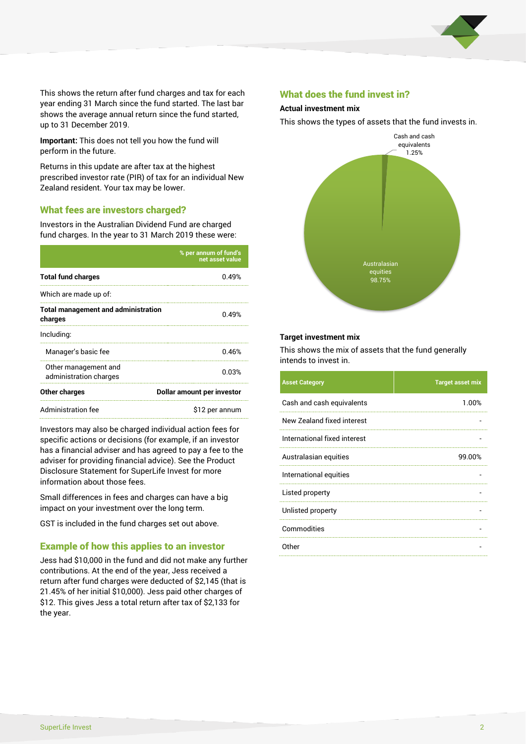

This shows the return after fund charges and tax for each year ending 31 March since the fund started. The last bar shows the average annual return since the fund started, up to 31 December 2019.

**Important:** This does not tell you how the fund will perform in the future.

Returns in this update are after tax at the highest prescribed investor rate (PIR) of tax for an individual New Zealand resident. Your tax may be lower.

#### What fees are investors charged?

Investors in the Australian Dividend Fund are charged fund charges. In the year to 31 March 2019 these were:

|                                                       | % per annum of fund's<br>net asset value |  |
|-------------------------------------------------------|------------------------------------------|--|
| <b>Total fund charges</b>                             | 0.49%                                    |  |
| Which are made up of:                                 |                                          |  |
| <b>Total management and administration</b><br>charges | 0.49%                                    |  |
| Including:                                            |                                          |  |
| Manager's basic fee                                   | 0.46%                                    |  |
| Other management and<br>administration charges        | 0.03%                                    |  |
| Other charges                                         | Dollar amount per investor               |  |
| Administration fee                                    | \$12 per annum                           |  |

Investors may also be charged individual action fees for specific actions or decisions (for example, if an investor has a financial adviser and has agreed to pay a fee to the adviser for providing financial advice). See the Product Disclosure Statement for SuperLife Invest for more information about those fees.

Small differences in fees and charges can have a big impact on your investment over the long term.

GST is included in the fund charges set out above.

#### Example of how this applies to an investor

Jess had \$10,000 in the fund and did not make any further contributions. At the end of the year, Jess received a return after fund charges were deducted of \$2,145 (that is 21.45% of her initial \$10,000). Jess paid other charges of \$12. This gives Jess a total return after tax of \$2,133 for the year.

#### What does the fund invest in?

#### **Actual investment mix**

This shows the types of assets that the fund invests in.



#### **Target investment mix**

This shows the mix of assets that the fund generally intends to invest in.

| <b>Asset Category</b>        | <b>Target asset mix</b> |
|------------------------------|-------------------------|
| Cash and cash equivalents    | 1.00%                   |
| New Zealand fixed interest   |                         |
| International fixed interest |                         |
| Australasian equities        | 99.00%                  |
| International equities       |                         |
| Listed property              |                         |
| Unlisted property            |                         |
| Commodities                  |                         |
| Other                        |                         |